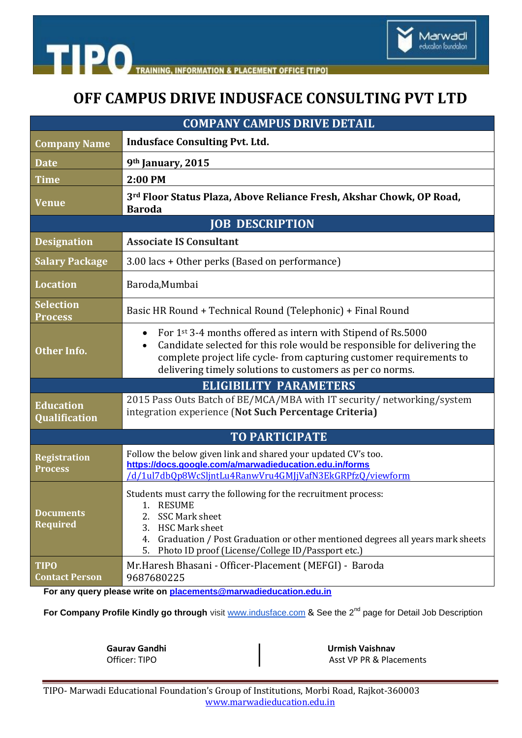

**TIPO CEMENT OFFICE ITIPOI** 

# **OFF CAMPUS DRIVE INDUSFACE CONSULTING PVT LTD**

| <b>COMPANY CAMPUS DRIVE DETAIL</b>    |                                                                                                                                                                                                                                                                                                        |  |
|---------------------------------------|--------------------------------------------------------------------------------------------------------------------------------------------------------------------------------------------------------------------------------------------------------------------------------------------------------|--|
| <b>Company Name</b>                   | <b>Indusface Consulting Pvt. Ltd.</b>                                                                                                                                                                                                                                                                  |  |
| <b>Date</b>                           | 9th January, 2015                                                                                                                                                                                                                                                                                      |  |
| <b>Time</b>                           | 2:00 PM                                                                                                                                                                                                                                                                                                |  |
| <b>Venue</b>                          | 3rd Floor Status Plaza, Above Reliance Fresh, Akshar Chowk, OP Road,<br><b>Baroda</b>                                                                                                                                                                                                                  |  |
| <b>JOB DESCRIPTION</b>                |                                                                                                                                                                                                                                                                                                        |  |
| <b>Designation</b>                    | <b>Associate IS Consultant</b>                                                                                                                                                                                                                                                                         |  |
| <b>Salary Package</b>                 | 3.00 lacs + Other perks (Based on performance)                                                                                                                                                                                                                                                         |  |
| <b>Location</b>                       | Baroda, Mumbai                                                                                                                                                                                                                                                                                         |  |
| <b>Selection</b><br><b>Process</b>    | Basic HR Round + Technical Round (Telephonic) + Final Round                                                                                                                                                                                                                                            |  |
| <b>Other Info.</b>                    | For 1st 3-4 months offered as intern with Stipend of Rs.5000<br>$\bullet$<br>Candidate selected for this role would be responsible for delivering the<br>$\bullet$<br>complete project life cycle-from capturing customer requirements to<br>delivering timely solutions to customers as per co norms. |  |
| <b>ELIGIBILITY PARAMETERS</b>         |                                                                                                                                                                                                                                                                                                        |  |
| <b>Education</b><br>Qualification     | 2015 Pass Outs Batch of BE/MCA/MBA with IT security/ networking/system<br>integration experience (Not Such Percentage Criteria)                                                                                                                                                                        |  |
| <b>TO PARTICIPATE</b>                 |                                                                                                                                                                                                                                                                                                        |  |
| <b>Registration</b><br><b>Process</b> | Follow the below given link and shared your updated CV's too.<br>https://docs.google.com/a/marwadieducation.edu.in/forms<br>/d/1ul7dbQp8WcSljntLu4RanwVru4GMJjVafN3EkGRPfzQ/viewform                                                                                                                   |  |
| <b>Documents</b><br><b>Required</b>   | Students must carry the following for the recruitment process:<br>1. RESUME<br><b>SSC Mark sheet</b><br>2.<br><b>HSC Mark sheet</b><br>3.<br>Graduation / Post Graduation or other mentioned degrees all years mark sheets<br>4.<br>Photo ID proof (License/College ID/Passport etc.)<br>5.            |  |
| <b>TIPO</b><br><b>Contact Person</b>  | Mr.Haresh Bhasani - Officer-Placement (MEFGI) - Baroda<br>9687680225                                                                                                                                                                                                                                   |  |

**For any query please write on [placements@marwadieducation.edu.in](mailto:placements@marwadieducation.edu.in)**

For Company Profile Kindly go through visit [www.indusface.com](http://www.indusface.com/) & See the 2<sup>nd</sup> page for Detail Job Description

| Gaurav Gandhi | Urmish Vaishnav         |
|---------------|-------------------------|
| Officer: TIPO | Asst VP PR & Placements |